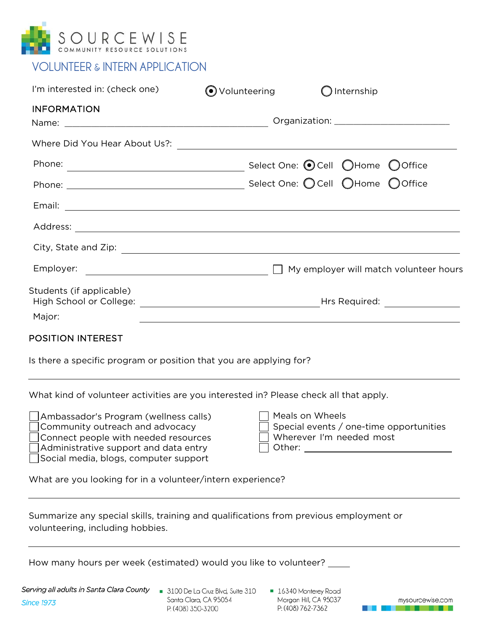

| <b>VOLUNTEER &amp; INTERN APPLICATION</b> |  |
|-------------------------------------------|--|
|-------------------------------------------|--|

| I'm interested in: (check one) | $\odot$ Volunteering | Internship                                                                                                     |  |  |
|--------------------------------|----------------------|----------------------------------------------------------------------------------------------------------------|--|--|
| <b>INFORMATION</b>             |                      |                                                                                                                |  |  |
|                                |                      |                                                                                                                |  |  |
|                                |                      |                                                                                                                |  |  |
|                                |                      |                                                                                                                |  |  |
|                                |                      |                                                                                                                |  |  |
|                                |                      |                                                                                                                |  |  |
|                                |                      |                                                                                                                |  |  |
|                                |                      |                                                                                                                |  |  |
|                                |                      |                                                                                                                |  |  |
| Students (if applicable)       |                      | High School or College: The College of College and College and College and College and College and College and |  |  |
| Major:                         |                      |                                                                                                                |  |  |
| <b>POSITION INTEREST</b>       |                      |                                                                                                                |  |  |

Is there a specific program or position that you are applying for?

What kind of volunteer activities are you interested in? Please check all that apply.

Ambassador's Program (wellness calls) Community outreach and advocacy Connect people with needed resources Administrative support and data entry Social media, blogs, computer support

| T Meals on Wheels                       |
|-----------------------------------------|
| Special events / one-time opportunities |
| Wherever I'm needed most                |
| Other:                                  |

What are you looking for in a volunteer/intern experience?

Summarize any special skills, training and qualifications from previous employment or volunteering, including hobbies.

How many hours per week (estimated) would you like to volunteer? \_\_\_\_\_\_\_\_\_\_\_\_\_\_\_

Serving all adults in Santa Clara County **Since 1973** 

- 3100 De La Cruz Blvd, Suite 310 Santa Clara, CA 95054 P: (408) 350-3200
- **16340 Monterey Road** Moraan Hill, CA 95037 P: (408) 762-7362

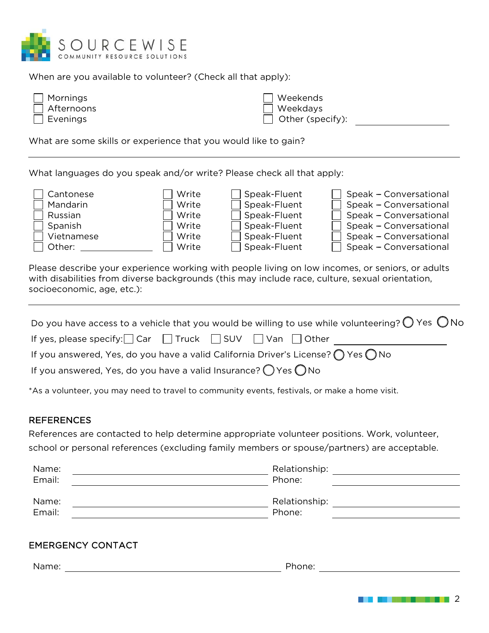

When are you available to volunteer? (Check all that apply):

| $\Box$ Mornings   | □ Weekends              |
|-------------------|-------------------------|
| $\Box$ Afternoons | Weekdays                |
| $\Box$ Evenings   | $\Box$ Other (specify): |

What are some skills or experience that you would like to gain?

What languages do you speak and/or write? Please check all that apply:

| Cantonese  | Write | Speak-Fluent | Speak - Conversational |
|------------|-------|--------------|------------------------|
| Mandarin   | Write | Speak-Fluent | Speak - Conversational |
| Russian    | Write | Speak-Fluent | Speak - Conversational |
| Spanish    | Write | Speak-Fluent | Speak - Conversational |
| Vietnamese | Write | Speak-Fluent | Speak - Conversational |
| Other:     | Write | Speak-Fluent | Speak - Conversational |

Please describe your experience working with people living on low incomes, or seniors, or adults with disabilities from diverse backgrounds (this may include race, culture, sexual orientation, socioeconomic, age, etc.):

| Do you have access to a vehicle that you would be willing to use while volunteering? $\bigcirc$ Yes $\bigcirc$ No |
|-------------------------------------------------------------------------------------------------------------------|
| If yes, please specify: $\Box$ Car $\Box$ Truck $\Box$ SUV $\Box$ Van $\Box$ Other                                |
| If you answered, Yes, do you have a valid California Driver's License? $\bigcap$ Yes $\bigcap$ No                 |
| If you answered, Yes, do you have a valid Insurance? $\bigcirc$ Yes $\bigcirc$ No                                 |

\*As a volunteer, you may need to travel to community events, festivals, or make a home visit.

## REFERENCES

References are contacted to help determine appropriate volunteer positions. Work, volunteer, school or personal references (excluding family members or spouse/partners) are acceptable.

| Name:           | Relationship:           |
|-----------------|-------------------------|
| Email:          | Phone:                  |
| Name:<br>Email: | Relationship:<br>Phone: |

## EMERGENCY CONTACT

Name: The example of the example of the example of the example of the Phone:  $\blacksquare$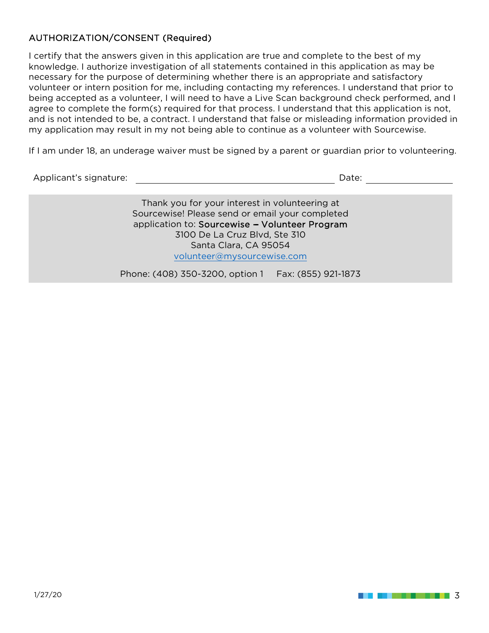## AUTHORIZATION/CONSENT (Required)

I certify that the answers given in this application are true and complete to the best of my knowledge. I authorize investigation of all statements contained in this application as may be necessary for the purpose of determining whether there is an appropriate and satisfactory volunteer or intern position for me, including contacting my references. I understand that prior to being accepted as a volunteer, I will need to have a Live Scan background check performed, and I agree to complete the form(s) required for that process. I understand that this application is not, and is not intended to be, a contract. I understand that false or misleading information provided in my application may result in my not being able to continue as a volunteer with Sourcewise.

If I am under 18, an underage waiver must be signed by a parent or guardian prior to volunteering.

Applicant's signature:  $\blacksquare$ 

Thank you for your interest in volunteering at Sourcewise! Please send or email your completed application to: Sourcewise - Volunteer Program 3100 De La Cruz Blvd, Ste 310 Santa Clara, CA 95054 volunteer@mysourcewise.com

Phone: (408) 350-3200, option 1 Fax: (855) 921-1873